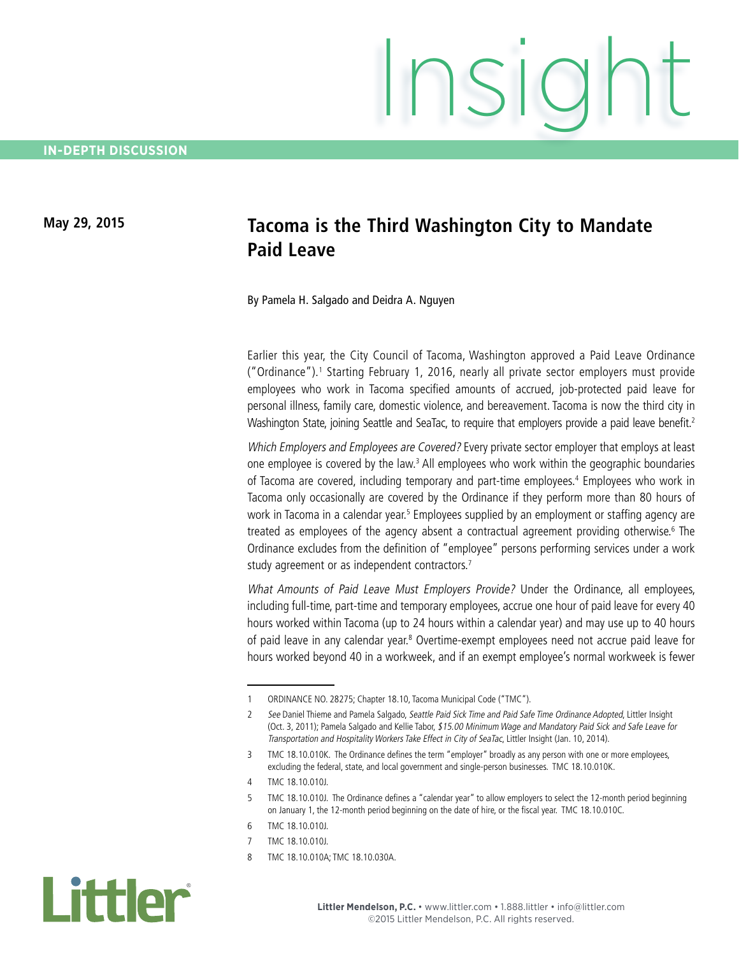## **May 29, 2015 Tacoma is the Third Washington City to Mandate Paid Leave**

By Pamela H. Salgado and Deidra A. Nguyen

Earlier this year, the City Council of Tacoma, Washington approved a Paid Leave Ordinance ("Ordinance").<sup>1</sup> Starting February 1, 2016, nearly all private sector employers must provide employees who work in Tacoma specified amounts of accrued, job-protected paid leave for personal illness, family care, domestic violence, and bereavement. Tacoma is now the third city in Washington State, joining Seattle and SeaTac, to require that employers provide a paid leave benefit.<sup>2</sup>

Which Employers and Employees are Covered? Every private sector employer that employs at least one employee is covered by the law.<sup>3</sup> All employees who work within the geographic boundaries of Tacoma are covered, including temporary and part-time employees.<sup>4</sup> Employees who work in Tacoma only occasionally are covered by the Ordinance if they perform more than 80 hours of work in Tacoma in a calendar year.<sup>5</sup> Employees supplied by an employment or staffing agency are treated as employees of the agency absent a contractual agreement providing otherwise.<sup>6</sup> The Ordinance excludes from the definition of "employee" persons performing services under a work study agreement or as independent contractors.<sup>7</sup>

What Amounts of Paid Leave Must Employers Provide? Under the Ordinance, all employees, including full-time, part-time and temporary employees, accrue one hour of paid leave for every 40 hours worked within Tacoma (up to 24 hours within a calendar year) and may use up to 40 hours of paid leave in any calendar year.<sup>8</sup> Overtime-exempt employees need not accrue paid leave for hours worked beyond 40 in a workweek, and if an exempt employee's normal workweek is fewer

8 TMC 18.10.010A; TMC 18.10.030A.



<sup>1</sup> ORDINANCE NO. 28275; Chapter 18.10, Tacoma Municipal Code ("TMC").

<sup>2</sup> See Daniel Thieme and Pamela Salgado, Seattle Paid Sick Time and Paid Safe Time Ordinance Adopted, Littler Insight (Oct. 3, 2011); Pamela Salgado and Kellie Tabor, \$15.00 Minimum Wage and Mandatory Paid Sick and Safe Leave for Transportation and Hospitality Workers Take Effect in City of SeaTac, Littler Insight (Jan. 10, 2014).

<sup>3</sup> TMC 18.10.010K. The Ordinance defines the term "employer" broadly as any person with one or more employees, excluding the federal, state, and local government and single-person businesses. TMC 18.10.010K.

<sup>4</sup> TMC 18.10.010J.

<sup>5</sup> TMC 18.10.010J. The Ordinance defines a "calendar year" to allow employers to select the 12-month period beginning on January 1, the 12-month period beginning on the date of hire, or the fiscal year. TMC 18.10.010C.

<sup>6</sup> TMC 18.10.010J.

<sup>7</sup> TMC 18.10.010J.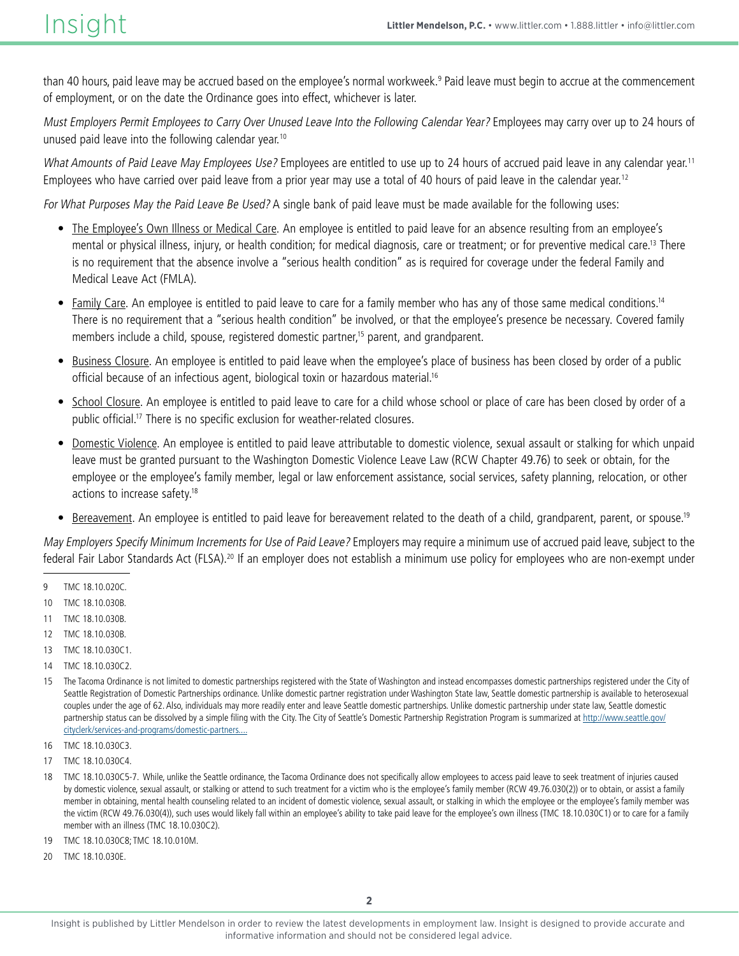than 40 hours, paid leave may be accrued based on the employee's normal workweek.<sup>9</sup> Paid leave must begin to accrue at the commencement of employment, or on the date the Ordinance goes into effect, whichever is later.

Must Employers Permit Employees to Carry Over Unused Leave Into the Following Calendar Year? Employees may carry over up to 24 hours of unused paid leave into the following calendar year.<sup>10</sup>

What Amounts of Paid Leave May Employees Use? Employees are entitled to use up to 24 hours of accrued paid leave in any calendar year.<sup>11</sup> Employees who have carried over paid leave from a prior year may use a total of 40 hours of paid leave in the calendar year.<sup>12</sup>

For What Purposes May the Paid Leave Be Used? A single bank of paid leave must be made available for the following uses:

- • The Employee's Own Illness or Medical Care. An employee is entitled to paid leave for an absence resulting from an employee's mental or physical illness, injury, or health condition; for medical diagnosis, care or treatment; or for preventive medical care.<sup>13</sup> There is no requirement that the absence involve a "serious health condition" as is required for coverage under the federal Family and Medical Leave Act (FMLA).
- Family Care. An employee is entitled to paid leave to care for a family member who has any of those same medical conditions.<sup>14</sup> There is no requirement that a "serious health condition" be involved, or that the employee's presence be necessary. Covered family members include a child, spouse, registered domestic partner,<sup>15</sup> parent, and grandparent.
- Business Closure. An employee is entitled to paid leave when the employee's place of business has been closed by order of a public official because of an infectious agent, biological toxin or hazardous material.<sup>16</sup>
- School Closure. An employee is entitled to paid leave to care for a child whose school or place of care has been closed by order of a public official.17 There is no specific exclusion for weather-related closures.
- Domestic Violence. An employee is entitled to paid leave attributable to domestic violence, sexual assault or stalking for which unpaid leave must be granted pursuant to the Washington Domestic Violence Leave Law (RCW Chapter 49.76) to seek or obtain, for the employee or the employee's family member, legal or law enforcement assistance, social services, safety planning, relocation, or other actions to increase safety.18
- Bereavement. An employee is entitled to paid leave for bereavement related to the death of a child, grandparent, parent, or spouse.<sup>19</sup>

May Employers Specify Minimum Increments for Use of Paid Leave? Employers may require a minimum use of accrued paid leave, subject to the federal Fair Labor Standards Act (FLSA).20 If an employer does not establish a minimum use policy for employees who are non-exempt under

- 9 TMC 18.10.020C.
- 10 TMC 18.10.030B.
- 11 TMC 18.10.030B.
- 12 TMC 18.10.030B.
- 13 TMC 18.10.030C1.
- 14 TMC 18.10.030C2.
- 15 The Tacoma Ordinance is not limited to domestic partnerships registered with the State of Washington and instead encompasses domestic partnerships registered under the City of Seattle Registration of Domestic Partnerships ordinance. Unlike domestic partner registration under Washington State law, Seattle domestic partnership is available to heterosexual couples under the age of 62. Also, individuals may more readily enter and leave Seattle domestic partnerships. Unlike domestic partnership under state law, Seattle domestic partnership status can be dissolved by a simple filing with the City. The City of Seattle's Domestic Partnership Registration Program is summarized at [http://www.seattle.gov/](http://www.seattle.gov/cityclerk/services-and-programs/domestic-partnership-registration) [cityclerk/services-and-programs/domestic-partners....](http://www.seattle.gov/cityclerk/services-and-programs/domestic-partnership-registration)
- 16 TMC 18.10.030C3.
- 17 TMC 18.10.030C4.
- 18 TMC 18.10.030C5-7. While, unlike the Seattle ordinance, the Tacoma Ordinance does not specifically allow employees to access paid leave to seek treatment of injuries caused by domestic violence, sexual assault, or stalking or attend to such treatment for a victim who is the employee's family member (RCW 49.76.030(2)) or to obtain, or assist a family member in obtaining, mental health counseling related to an incident of domestic violence, sexual assault, or stalking in which the employee or the employee's family member was the victim (RCW 49.76.030(4)), such uses would likely fall within an employee's ability to take paid leave for the employee's own illness (TMC 18.10.030C1) or to care for a family member with an illness (TMC 18.10.030C2).
- 19 TMC 18.10.030C8; TMC 18.10.010M.
- 20 TMC 18.10.030E.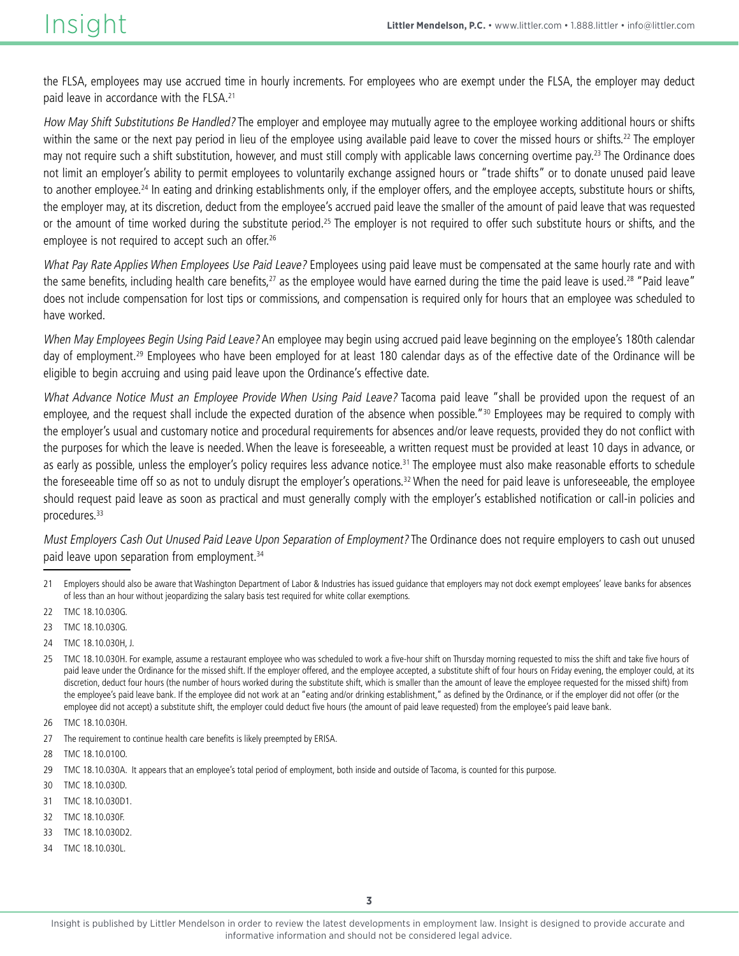the FLSA, employees may use accrued time in hourly increments. For employees who are exempt under the FLSA, the employer may deduct paid leave in accordance with the FLSA.<sup>21</sup>

How May Shift Substitutions Be Handled? The employer and employee may mutually agree to the employee working additional hours or shifts within the same or the next pay period in lieu of the employee using available paid leave to cover the missed hours or shifts.<sup>22</sup> The employer may not require such a shift substitution, however, and must still comply with applicable laws concerning overtime pay.<sup>23</sup> The Ordinance does not limit an employer's ability to permit employees to voluntarily exchange assigned hours or "trade shifts" or to donate unused paid leave to another employee.<sup>24</sup> In eating and drinking establishments only, if the employer offers, and the employee accepts, substitute hours or shifts, the employer may, at its discretion, deduct from the employee's accrued paid leave the smaller of the amount of paid leave that was requested or the amount of time worked during the substitute period.<sup>25</sup> The employer is not required to offer such substitute hours or shifts, and the employee is not required to accept such an offer.<sup>26</sup>

What Pay Rate Applies When Employees Use Paid Leave? Employees using paid leave must be compensated at the same hourly rate and with the same benefits, including health care benefits, $27$  as the employee would have earned during the time the paid leave is used.<sup>28</sup> "Paid leave" does not include compensation for lost tips or commissions, and compensation is required only for hours that an employee was scheduled to have worked.

When May Employees Begin Using Paid Leave? An employee may begin using accrued paid leave beginning on the employee's 180th calendar day of employment.<sup>29</sup> Employees who have been employed for at least 180 calendar days as of the effective date of the Ordinance will be eligible to begin accruing and using paid leave upon the Ordinance's effective date.

What Advance Notice Must an Employee Provide When Using Paid Leave? Tacoma paid leave "shall be provided upon the request of an employee, and the request shall include the expected duration of the absence when possible."<sup>30</sup> Employees may be required to comply with the employer's usual and customary notice and procedural requirements for absences and/or leave requests, provided they do not conflict with the purposes for which the leave is needed. When the leave is foreseeable, a written request must be provided at least 10 days in advance, or as early as possible, unless the employer's policy requires less advance notice.<sup>31</sup> The employee must also make reasonable efforts to schedule the foreseeable time off so as not to unduly disrupt the employer's operations.<sup>32</sup> When the need for paid leave is unforeseeable, the employee should request paid leave as soon as practical and must generally comply with the employer's established notification or call-in policies and procedures.<sup>33</sup>

Must Employers Cash Out Unused Paid Leave Upon Separation of Employment? The Ordinance does not require employers to cash out unused paid leave upon separation from employment.<sup>34</sup>

- 22 TMC 18.10.030G.
- 23 TMC 18.10.030G.
- 24 TMC 18.10.030H, J.
- 25 TMC 18.10.030H. For example, assume a restaurant employee who was scheduled to work a five-hour shift on Thursday morning requested to miss the shift and take five hours of paid leave under the Ordinance for the missed shift. If the employer offered, and the employee accepted, a substitute shift of four hours on Friday evening, the employer could, at its discretion, deduct four hours (the number of hours worked during the substitute shift, which is smaller than the amount of leave the employee requested for the missed shift) from the employee's paid leave bank. If the employee did not work at an "eating and/or drinking establishment," as defined by the Ordinance, or if the employer did not offer (or the employee did not accept) a substitute shift, the employer could deduct five hours (the amount of paid leave requested) from the employee's paid leave bank.
- 26 TMC 18.10.030H.
- 27 The requirement to continue health care benefits is likely preempted by ERISA.
- 28 TMC 18.10.010O.
- 29 TMC 18.10.030A. It appears that an employee's total period of employment, both inside and outside of Tacoma, is counted for this purpose.
- 30 TMC 18.10.030D.
- 31 TMC 18.10.030D1.
- 32 TMC 18.10.030F.
- 33 TMC 18.10.030D2.
- 34 TMC 18.10.030L.

<sup>21</sup> Employers should also be aware that Washington Department of Labor & Industries has issued guidance that employers may not dock exempt employees' leave banks for absences of less than an hour without jeopardizing the salary basis test required for white collar exemptions.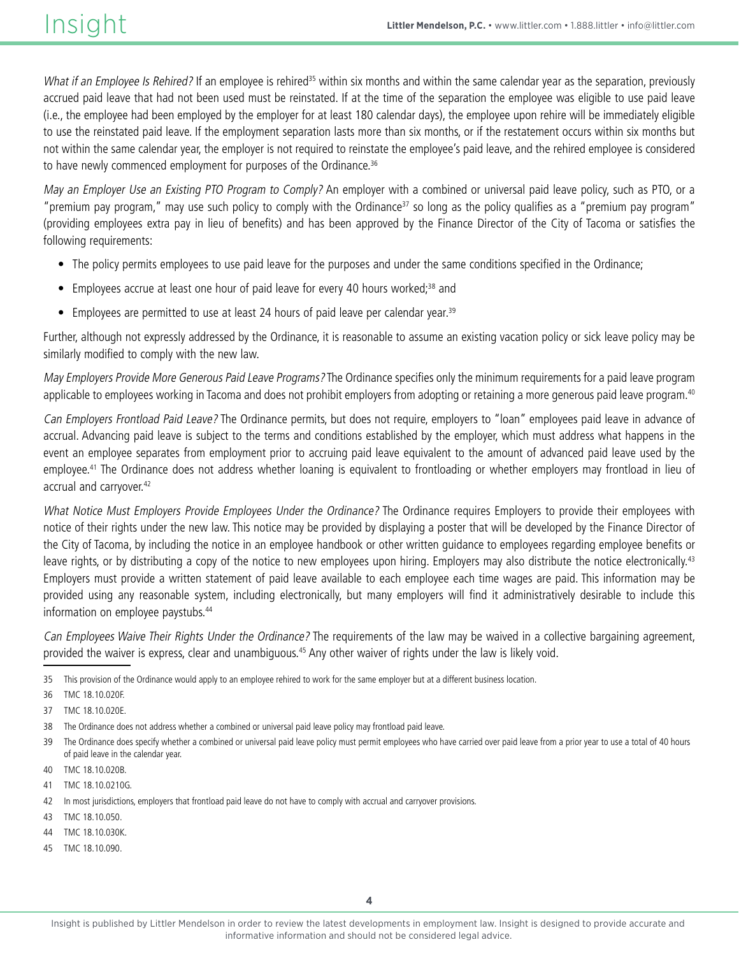What if an Employee Is Rehired? If an employee is rehired<sup>35</sup> within six months and within the same calendar year as the separation, previously accrued paid leave that had not been used must be reinstated. If at the time of the separation the employee was eligible to use paid leave (i.e., the employee had been employed by the employer for at least 180 calendar days), the employee upon rehire will be immediately eligible to use the reinstated paid leave. If the employment separation lasts more than six months, or if the restatement occurs within six months but not within the same calendar year, the employer is not required to reinstate the employee's paid leave, and the rehired employee is considered to have newly commenced employment for purposes of the Ordinance.<sup>36</sup>

May an Employer Use an Existing PTO Program to Comply? An employer with a combined or universal paid leave policy, such as PTO, or a "premium pay program," may use such policy to comply with the Ordinance<sup>37</sup> so long as the policy qualifies as a "premium pay program" (providing employees extra pay in lieu of benefits) and has been approved by the Finance Director of the City of Tacoma or satisfies the following requirements:

- The policy permits employees to use paid leave for the purposes and under the same conditions specified in the Ordinance;
- Employees accrue at least one hour of paid leave for every 40 hours worked;<sup>38</sup> and
- Employees are permitted to use at least 24 hours of paid leave per calendar year.<sup>39</sup>

Further, although not expressly addressed by the Ordinance, it is reasonable to assume an existing vacation policy or sick leave policy may be similarly modified to comply with the new law.

May Employers Provide More Generous Paid Leave Programs? The Ordinance specifies only the minimum requirements for a paid leave program applicable to employees working in Tacoma and does not prohibit employers from adopting or retaining a more generous paid leave program.<sup>40</sup>

Can Employers Frontload Paid Leave? The Ordinance permits, but does not require, employers to "loan" employees paid leave in advance of accrual. Advancing paid leave is subject to the terms and conditions established by the employer, which must address what happens in the event an employee separates from employment prior to accruing paid leave equivalent to the amount of advanced paid leave used by the employee.41 The Ordinance does not address whether loaning is equivalent to frontloading or whether employers may frontload in lieu of accrual and carryover.<sup>42</sup>

What Notice Must Employers Provide Employees Under the Ordinance? The Ordinance requires Employers to provide their employees with notice of their rights under the new law. This notice may be provided by displaying a poster that will be developed by the Finance Director of the City of Tacoma, by including the notice in an employee handbook or other written guidance to employees regarding employee benefits or leave rights, or by distributing a copy of the notice to new employees upon hiring. Employers may also distribute the notice electronically.<sup>43</sup> Employers must provide a written statement of paid leave available to each employee each time wages are paid. This information may be provided using any reasonable system, including electronically, but many employers will find it administratively desirable to include this information on employee paystubs.<sup>44</sup>

Can Employees Waive Their Rights Under the Ordinance? The requirements of the law may be waived in a collective bargaining agreement, provided the waiver is express, clear and unambiguous.45 Any other waiver of rights under the law is likely void.

- 40 TMC 18.10.020B.
- 41 TMC 18.10.0210G.
- 42 In most jurisdictions, employers that frontload paid leave do not have to comply with accrual and carryover provisions.
- 43 TMC 18.10.050.
- 44 TMC 18.10.030K.
- 45 TMC 18.10.090.

<sup>35</sup> This provision of the Ordinance would apply to an employee rehired to work for the same employer but at a different business location.

<sup>36</sup> TMC 18.10.020F.

<sup>37</sup> TMC 18.10.020E.

<sup>38</sup> The Ordinance does not address whether a combined or universal paid leave policy may frontload paid leave.

<sup>39</sup> The Ordinance does specify whether a combined or universal paid leave policy must permit employees who have carried over paid leave from a prior year to use a total of 40 hours of paid leave in the calendar year.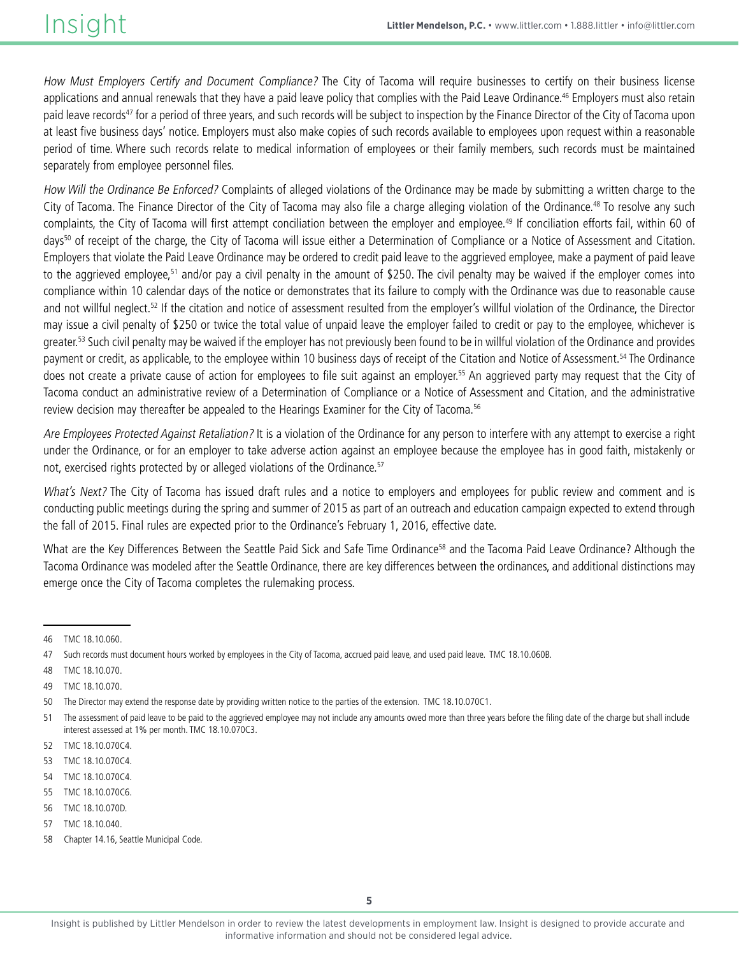How Must Employers Certify and Document Compliance? The City of Tacoma will require businesses to certify on their business license applications and annual renewals that they have a paid leave policy that complies with the Paid Leave Ordinance.<sup>46</sup> Employers must also retain paid leave records<sup>47</sup> for a period of three years, and such records will be subject to inspection by the Finance Director of the City of Tacoma upon at least five business days' notice. Employers must also make copies of such records available to employees upon request within a reasonable period of time. Where such records relate to medical information of employees or their family members, such records must be maintained separately from employee personnel files.

How Will the Ordinance Be Enforced? Complaints of alleged violations of the Ordinance may be made by submitting a written charge to the City of Tacoma. The Finance Director of the City of Tacoma may also file a charge alleging violation of the Ordinance.<sup>48</sup> To resolve any such complaints, the City of Tacoma will first attempt conciliation between the employer and employee.<sup>49</sup> If conciliation efforts fail, within 60 of days<sup>50</sup> of receipt of the charge, the City of Tacoma will issue either a Determination of Compliance or a Notice of Assessment and Citation. Employers that violate the Paid Leave Ordinance may be ordered to credit paid leave to the aggrieved employee, make a payment of paid leave to the aggrieved employee,<sup>51</sup> and/or pay a civil penalty in the amount of \$250. The civil penalty may be waived if the employer comes into compliance within 10 calendar days of the notice or demonstrates that its failure to comply with the Ordinance was due to reasonable cause and not willful neglect.52 If the citation and notice of assessment resulted from the employer's willful violation of the Ordinance, the Director may issue a civil penalty of \$250 or twice the total value of unpaid leave the employer failed to credit or pay to the employee, whichever is greater.<sup>53</sup> Such civil penalty may be waived if the employer has not previously been found to be in willful violation of the Ordinance and provides payment or credit, as applicable, to the employee within 10 business days of receipt of the Citation and Notice of Assessment.<sup>54</sup> The Ordinance does not create a private cause of action for employees to file suit against an employer.<sup>55</sup> An aggrieved party may request that the City of Tacoma conduct an administrative review of a Determination of Compliance or a Notice of Assessment and Citation, and the administrative review decision may thereafter be appealed to the Hearings Examiner for the City of Tacoma.<sup>56</sup>

Are Employees Protected Against Retaliation? It is a violation of the Ordinance for any person to interfere with any attempt to exercise a right under the Ordinance, or for an employer to take adverse action against an employee because the employee has in good faith, mistakenly or not, exercised rights protected by or alleged violations of the Ordinance.<sup>57</sup>

What's Next? The City of Tacoma has issued draft rules and a notice to employers and employees for public review and comment and is conducting public meetings during the spring and summer of 2015 as part of an outreach and education campaign expected to extend through the fall of 2015. Final rules are expected prior to the Ordinance's February 1, 2016, effective date.

What are the Key Differences Between the Seattle Paid Sick and Safe Time Ordinance<sup>58</sup> and the Tacoma Paid Leave Ordinance? Although the Tacoma Ordinance was modeled after the Seattle Ordinance, there are key differences between the ordinances, and additional distinctions may emerge once the City of Tacoma completes the rulemaking process.

- 54 TMC 18.10.070C4.
- 55 TMC 18.10.070C6.
- 56 TMC 18.10.070D.
- 57 TMC 18.10.040.

<sup>46</sup> TMC 18.10.060.

<sup>47</sup> Such records must document hours worked by employees in the City of Tacoma, accrued paid leave, and used paid leave. TMC 18.10.060B.

<sup>48</sup> TMC 18.10.070.

<sup>49</sup> TMC 18.10.070.

<sup>50</sup> The Director may extend the response date by providing written notice to the parties of the extension. TMC 18.10.070C1.

<sup>51</sup> The assessment of paid leave to be paid to the aggrieved employee may not include any amounts owed more than three years before the filing date of the charge but shall include interest assessed at 1% per month. TMC 18.10.070C3.

<sup>52</sup> TMC 18.10.070C4.

<sup>53</sup> TMC 18.10.070C4.

<sup>58</sup> Chapter 14.16, Seattle Municipal Code.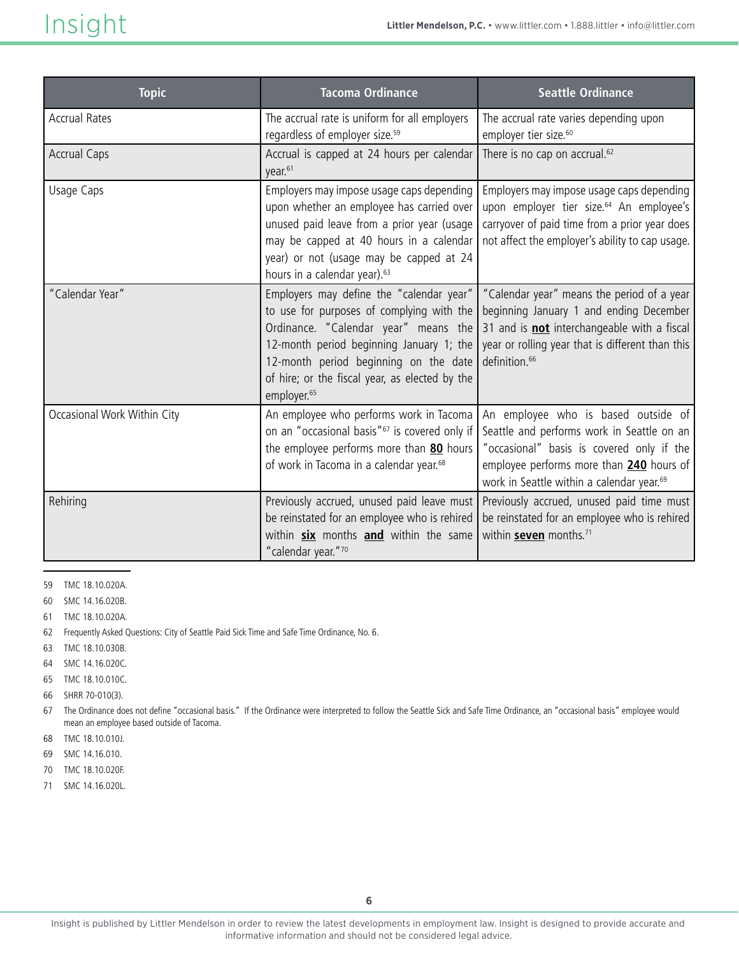| <b>Topic</b>                | <b>Tacoma Ordinance</b>                                                                                                                                                                                                                                                                         | <b>Seattle Ordinance</b>                                                                                                                                                                                                            |
|-----------------------------|-------------------------------------------------------------------------------------------------------------------------------------------------------------------------------------------------------------------------------------------------------------------------------------------------|-------------------------------------------------------------------------------------------------------------------------------------------------------------------------------------------------------------------------------------|
| <b>Accrual Rates</b>        | The accrual rate is uniform for all employers<br>regardless of employer size. <sup>59</sup>                                                                                                                                                                                                     | The accrual rate varies depending upon<br>employer tier size. <sup>60</sup>                                                                                                                                                         |
| <b>Accrual Caps</b>         | Accrual is capped at 24 hours per calendar<br>year. <sup>61</sup>                                                                                                                                                                                                                               | There is no cap on accrual. <sup>62</sup>                                                                                                                                                                                           |
| Usage Caps                  | Employers may impose usage caps depending<br>upon whether an employee has carried over<br>unused paid leave from a prior year (usage<br>may be capped at 40 hours in a calendar<br>year) or not (usage may be capped at 24<br>hours in a calendar year). <sup>63</sup>                          | Employers may impose usage caps depending<br>upon employer tier size. <sup>64</sup> An employee's<br>carryover of paid time from a prior year does<br>not affect the employer's ability to cap usage.                               |
| "Calendar Year"             | Employers may define the "calendar year"<br>to use for purposes of complying with the<br>Ordinance. "Calendar year" means the<br>12-month period beginning January 1; the<br>12-month period beginning on the date<br>of hire; or the fiscal year, as elected by the<br>employer. <sup>65</sup> | "Calendar year" means the period of a year<br>beginning January 1 and ending December<br>31 and is <b>not</b> interchangeable with a fiscal<br>year or rolling year that is different than this<br>definition. <sup>66</sup>        |
| Occasional Work Within City | An employee who performs work in Tacoma<br>on an "occasional basis" <sup>67</sup> is covered only if<br>the employee performs more than 80 hours<br>of work in Tacoma in a calendar year. <sup>68</sup>                                                                                         | An employee who is based outside of<br>Seattle and performs work in Seattle on an<br>"occasional" basis is covered only if the<br>employee performs more than 240 hours of<br>work in Seattle within a calendar year. <sup>69</sup> |
| Rehiring                    | Previously accrued, unused paid leave must<br>be reinstated for an employee who is rehired<br>within <b>six</b> months <b>and</b> within the same<br>"calendar year."70                                                                                                                         | Previously accrued, unused paid time must<br>be reinstated for an employee who is rehired<br>within seven months. <sup>71</sup>                                                                                                     |

- 59 TMC 18.10.020A.
- 60 SMC 14.16.020B.
- 61 TMC 18.10.020A.
- 62 Frequently Asked Questions: City of Seattle Paid Sick Time and Safe Time Ordinance, No. 6.
- 63 TMC 18.10.030B.
- 64 SMC 14.16.020C.
- 65 TMC 18.10.010C.
- 66 SHRR 70-010(3).
- 67 The Ordinance does not define "occasional basis." If the Ordinance were interpreted to follow the Seattle Sick and Safe Time Ordinance, an "occasional basis" employee would mean an employee based outside of Tacoma.
- 68 TMC 18.10.010J.
- 69 SMC 14.16.010.
- 70 TMC 18.10.020F.
- 71 SMC 14.16.020L.